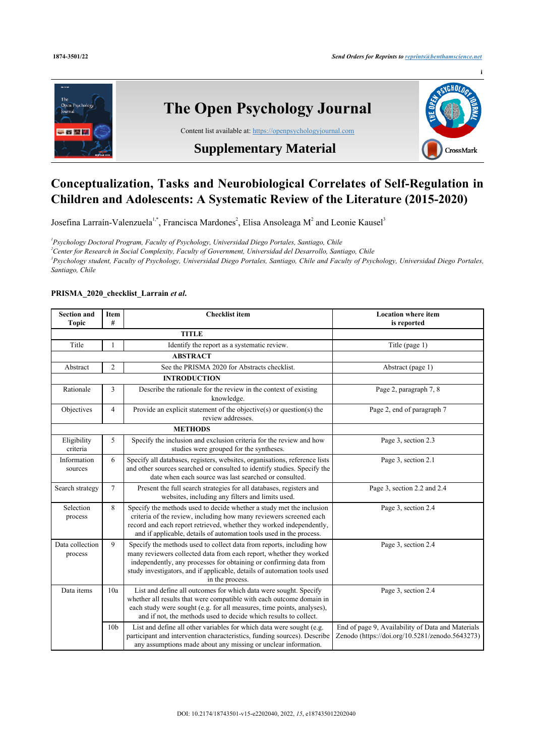

## **Conceptualization, Tasks and Neurobiological Correlates of Self-Regulation in Children and Adolescents: A Systematic Review of the Literature (2015-2020)**

Josefina Larraín-Valenzuela<sup>[1](#page-0-0),[\\*](#page--1-0)</sup>, Francisca Mardones<sup>[2](#page-0-1)</sup>, Elisa Ansoleaga M<sup>2</sup> and Leonie Kausel<sup>[3](#page-0-2)</sup>

<span id="page-0-1"></span><span id="page-0-0"></span> *Psychology Doctoral Program, Faculty of Psychology, Universidad Diego Portales, Santiago, Chile Center for Research in Social Complexity, Faculty of Government, Universidad del Desarrollo, Santiago, Chile Psychology student, Faculty of Psychology, Universidad Diego Portales, Santiago, Chile and Faculty of Psychology, Universidad Diego Portales, Santiago, Chile*

## <span id="page-0-2"></span>**PRISMA\_2020\_checklist\_Larrain** *et al***.**

| <b>Section and</b><br><b>Topic</b> | Item<br>#       | <b>Checklist item</b>                                                                                                                                                                                                                                                                                            | <b>Location where item</b><br>is reported                                                            |
|------------------------------------|-----------------|------------------------------------------------------------------------------------------------------------------------------------------------------------------------------------------------------------------------------------------------------------------------------------------------------------------|------------------------------------------------------------------------------------------------------|
|                                    |                 | <b>TITLE</b>                                                                                                                                                                                                                                                                                                     |                                                                                                      |
| Title                              | 1               | Identify the report as a systematic review.                                                                                                                                                                                                                                                                      | Title (page 1)                                                                                       |
|                                    |                 | <b>ABSTRACT</b>                                                                                                                                                                                                                                                                                                  |                                                                                                      |
| Abstract                           | $\overline{2}$  | See the PRISMA 2020 for Abstracts checklist.                                                                                                                                                                                                                                                                     | Abstract (page 1)                                                                                    |
|                                    |                 | <b>INTRODUCTION</b>                                                                                                                                                                                                                                                                                              |                                                                                                      |
| Rationale                          | 3               | Describe the rationale for the review in the context of existing<br>knowledge.                                                                                                                                                                                                                                   | Page 2, paragraph 7, 8                                                                               |
| Objectives                         | 4               | Provide an explicit statement of the objective( $s$ ) or question( $s$ ) the<br>review addresses.                                                                                                                                                                                                                | Page 2, end of paragraph 7                                                                           |
|                                    |                 | <b>METHODS</b>                                                                                                                                                                                                                                                                                                   |                                                                                                      |
| Eligibility<br>criteria            | 5               | Specify the inclusion and exclusion criteria for the review and how<br>studies were grouped for the syntheses.                                                                                                                                                                                                   | Page 3, section 2.3                                                                                  |
| Information<br>sources             | 6               | Specify all databases, registers, websites, organisations, reference lists<br>and other sources searched or consulted to identify studies. Specify the<br>date when each source was last searched or consulted.                                                                                                  | Page 3, section 2.1                                                                                  |
| Search strategy                    | $\overline{7}$  | Present the full search strategies for all databases, registers and<br>websites, including any filters and limits used.                                                                                                                                                                                          | Page 3, section 2.2 and 2.4                                                                          |
| Selection<br>process               | 8               | Specify the methods used to decide whether a study met the inclusion<br>criteria of the review, including how many reviewers screened each<br>record and each report retrieved, whether they worked independently,<br>and if applicable, details of automation tools used in the process.                        | Page 3, section 2.4                                                                                  |
| Data collection<br>process         | 9               | Specify the methods used to collect data from reports, including how<br>many reviewers collected data from each report, whether they worked<br>independently, any processes for obtaining or confirming data from<br>study investigators, and if applicable, details of automation tools used<br>in the process. | Page 3, section 2.4                                                                                  |
| Data items                         | 10a             | List and define all outcomes for which data were sought. Specify<br>whether all results that were compatible with each outcome domain in<br>each study were sought (e.g. for all measures, time points, analyses),<br>and if not, the methods used to decide which results to collect.                           | Page 3, section 2.4                                                                                  |
|                                    | 10 <sub>b</sub> | List and define all other variables for which data were sought (e.g.<br>participant and intervention characteristics, funding sources). Describe<br>any assumptions made about any missing or unclear information.                                                                                               | End of page 9, Availability of Data and Materials<br>Zenodo (https://doi.org/10.5281/zenodo.5643273) |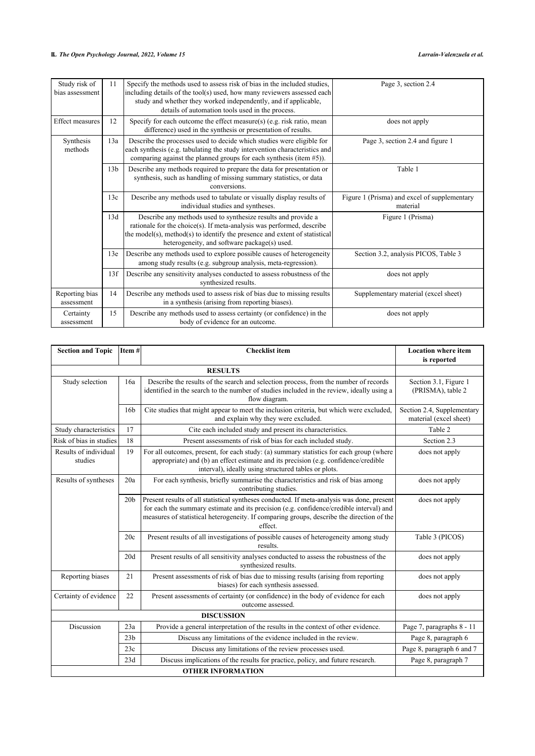| Study risk of<br>bias assessment | 11              | Specify the methods used to assess risk of bias in the included studies,<br>including details of the tool(s) used, how many reviewers assessed each<br>study and whether they worked independently, and if applicable,<br>details of automation tools used in the process. | Page 3, section 2.4                                      |  |  |
|----------------------------------|-----------------|----------------------------------------------------------------------------------------------------------------------------------------------------------------------------------------------------------------------------------------------------------------------------|----------------------------------------------------------|--|--|
| Effect measures                  | 12              | Specify for each outcome the effect measure(s) (e.g. risk ratio, mean<br>difference) used in the synthesis or presentation of results.                                                                                                                                     | does not apply                                           |  |  |
| Synthesis<br>methods             | 13a             | Describe the processes used to decide which studies were eligible for<br>each synthesis (e.g. tabulating the study intervention characteristics and<br>comparing against the planned groups for each synthesis (item $#5$ )).                                              | Page 3, section 2.4 and figure 1                         |  |  |
|                                  | 13 <sub>b</sub> | Describe any methods required to prepare the data for presentation or<br>synthesis, such as handling of missing summary statistics, or data<br>conversions.                                                                                                                | Table 1                                                  |  |  |
|                                  | 13c             | Describe any methods used to tabulate or visually display results of<br>individual studies and syntheses.                                                                                                                                                                  | Figure 1 (Prisma) and excel of supplementary<br>material |  |  |
|                                  | 13d             | Describe any methods used to synthesize results and provide a<br>rationale for the choice(s). If meta-analysis was performed, describe<br>the model(s), method(s) to identify the presence and extent of statistical<br>heterogeneity, and software package(s) used.       | Figure 1 (Prisma)                                        |  |  |
|                                  | 13e             | Describe any methods used to explore possible causes of heterogeneity<br>among study results (e.g. subgroup analysis, meta-regression).                                                                                                                                    | Section 3.2, analysis PICOS, Table 3                     |  |  |
|                                  | 13f             | Describe any sensitivity analyses conducted to assess robustness of the<br>synthesized results.                                                                                                                                                                            | does not apply                                           |  |  |
| Reporting bias<br>assessment     | 14              | Describe any methods used to assess risk of bias due to missing results<br>in a synthesis (arising from reporting biases).                                                                                                                                                 | Supplementary material (excel sheet)                     |  |  |
| Certainty<br>assessment          | 15              | Describe any methods used to assess certainty (or confidence) in the<br>body of evidence for an outcome.                                                                                                                                                                   | does not apply                                           |  |  |

| <b>Section and Topic</b>         | Item#           | <b>Checklist</b> item                                                                                                                                                                                                                                                                         | <b>Location where item</b><br>is reported            |
|----------------------------------|-----------------|-----------------------------------------------------------------------------------------------------------------------------------------------------------------------------------------------------------------------------------------------------------------------------------------------|------------------------------------------------------|
|                                  |                 |                                                                                                                                                                                                                                                                                               |                                                      |
| Study selection                  | 16a             | Describe the results of the search and selection process, from the number of records<br>identified in the search to the number of studies included in the review, ideally using a<br>flow diagram.                                                                                            | Section 3.1, Figure 1<br>(PRISMA), table 2           |
|                                  | 16 <sub>b</sub> | Cite studies that might appear to meet the inclusion criteria, but which were excluded,<br>and explain why they were excluded.                                                                                                                                                                | Section 2.4, Supplementary<br>material (excel sheet) |
| Study characteristics            | 17              | Cite each included study and present its characteristics.                                                                                                                                                                                                                                     | Table 2                                              |
| Risk of bias in studies          | 18              | Present assessments of risk of bias for each included study.                                                                                                                                                                                                                                  | Section 2.3                                          |
| Results of individual<br>studies | 19              | For all outcomes, present, for each study: (a) summary statistics for each group (where<br>appropriate) and (b) an effect estimate and its precision (e.g. confidence/credible<br>interval), ideally using structured tables or plots.                                                        | does not apply                                       |
| Results of syntheses             | 20a             | For each synthesis, briefly summarise the characteristics and risk of bias among<br>contributing studies.                                                                                                                                                                                     | does not apply                                       |
|                                  | 20 <sub>b</sub> | Present results of all statistical syntheses conducted. If meta-analysis was done, present<br>for each the summary estimate and its precision (e.g. confidence/credible interval) and<br>measures of statistical heterogeneity. If comparing groups, describe the direction of the<br>effect. | does not apply                                       |
|                                  | 20c             | Present results of all investigations of possible causes of heterogeneity among study<br>results.                                                                                                                                                                                             | Table 3 (PICOS)                                      |
|                                  | 20d             | Present results of all sensitivity analyses conducted to assess the robustness of the<br>synthesized results.                                                                                                                                                                                 | does not apply                                       |
| Reporting biases                 | 21              | Present assessments of risk of bias due to missing results (arising from reporting<br>biases) for each synthesis assessed.                                                                                                                                                                    | does not apply                                       |
| Certainty of evidence            | 22              | Present assessments of certainty (or confidence) in the body of evidence for each<br>outcome assessed.                                                                                                                                                                                        | does not apply                                       |
|                                  |                 | <b>DISCUSSION</b>                                                                                                                                                                                                                                                                             |                                                      |
| Discussion                       | 23a             | Provide a general interpretation of the results in the context of other evidence.                                                                                                                                                                                                             | Page 7, paragraphs 8 - 11                            |
|                                  | 23 <sub>b</sub> | Discuss any limitations of the evidence included in the review.                                                                                                                                                                                                                               | Page 8, paragraph 6                                  |
|                                  | 23c             | Discuss any limitations of the review processes used.                                                                                                                                                                                                                                         | Page 8, paragraph 6 and 7                            |
|                                  | 23d             | Discuss implications of the results for practice, policy, and future research.                                                                                                                                                                                                                | Page 8, paragraph 7                                  |
|                                  |                 | <b>OTHER INFORMATION</b>                                                                                                                                                                                                                                                                      |                                                      |